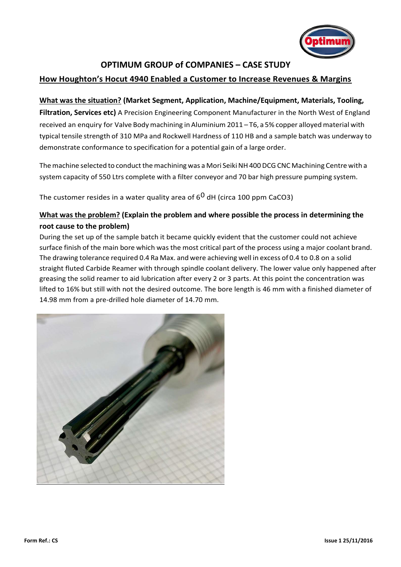

# **OPTIMUM GROUP of COMPANIES – CASE STUDY**

### **How Houghton's Hocut 4940 Enabled a Customer to Increase Revenues & Margins**

#### **What was the situation? (Market Segment, Application, Machine/Equipment, Materials, Tooling,**

**Filtration, Services etc)** A Precision Engineering Component Manufacturer in the North West of England received an enquiry for Valve Body machining in Aluminium 2011 – T6, a 5% copper alloyed material with typical tensile strength of 310 MPa and Rockwell Hardness of 110 HB and a sample batch was underway to demonstrate conformance to specification for a potential gain of a large order.

The machine selected to conduct the machining was a Mori Seiki NH400 DCG CNC Machining Centre with a system capacity of 550 Ltrs complete with a filter conveyor and 70 bar high pressure pumping system.

The customer resides in a water quality area of  $6<sup>0</sup>$  dH (circa 100 ppm CaCO3)

### **What was the problem? (Explain the problem and where possible the process in determining the root cause to the problem)**

During the set up of the sample batch it became quickly evident that the customer could not achieve surface finish of the main bore which was the most critical part of the process using a major coolant brand. The drawing tolerance required 0.4 Ra Max. and were achieving well in excess of 0.4 to 0.8 on a solid straight fluted Carbide Reamer with through spindle coolant delivery. The lower value only happened after greasing the solid reamer to aid lubrication after every 2 or 3 parts. At this point the concentration was lifted to 16% but still with not the desired outcome. The bore length is 46 mm with a finished diameter of 14.98 mm from a pre-drilled hole diameter of 14.70 mm.

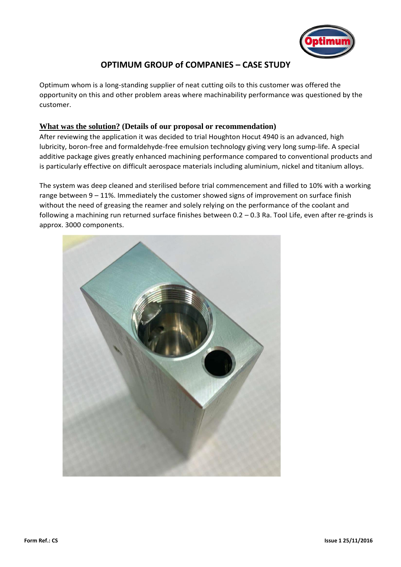

# **OPTIMUM GROUP of COMPANIES – CASE STUDY**

Optimum whom is a long-standing supplier of neat cutting oils to this customer was offered the opportunity on this and other problem areas where machinability performance was questioned by the customer.

#### **What was the solution? (Details of our proposal or recommendation)**

After reviewing the application it was decided to trial Houghton Hocut 4940 is an advanced, high lubricity, boron-free and formaldehyde-free emulsion technology giving very long sump-life. A special additive package gives greatly enhanced machining performance compared to conventional products and is particularly effective on difficult aerospace materials including aluminium, nickel and titanium alloys.

The system was deep cleaned and sterilised before trial commencement and filled to 10% with a working range between 9 – 11%. Immediately the customer showed signs of improvement on surface finish without the need of greasing the reamer and solely relying on the performance of the coolant and following a machining run returned surface finishes between 0.2 – 0.3 Ra. Tool Life, even after re-grinds is approx. 3000 components.